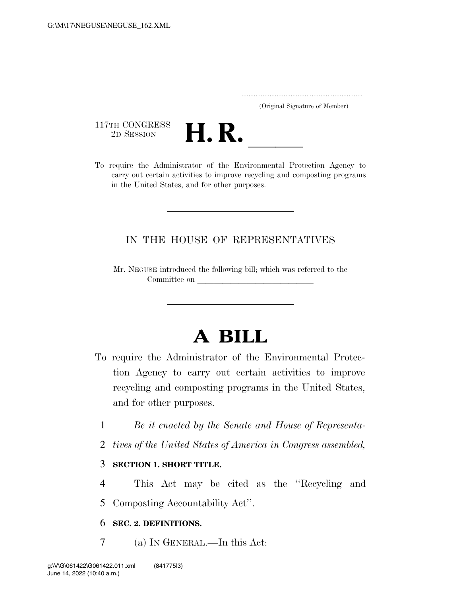..................................................................... (Original Signature of Member)

117TH CONGRESS<br>2D SESSION



117TH CONGRESS<br>
2D SESSION<br>
To require the Administrator of the Environmental Protection Agency to carry out certain activities to improve recycling and composting programs in the United States, and for other purposes.

### IN THE HOUSE OF REPRESENTATIVES

Mr. NEGUSE introduced the following bill; which was referred to the Committee on

# **A BILL**

- To require the Administrator of the Environmental Protection Agency to carry out certain activities to improve recycling and composting programs in the United States, and for other purposes.
	- 1 *Be it enacted by the Senate and House of Representa-*
	- 2 *tives of the United States of America in Congress assembled,*

#### 3 **SECTION 1. SHORT TITLE.**

4 This Act may be cited as the ''Recycling and 5 Composting Accountability Act''.

#### 6 **SEC. 2. DEFINITIONS.**

7 (a) IN GENERAL.—In this Act: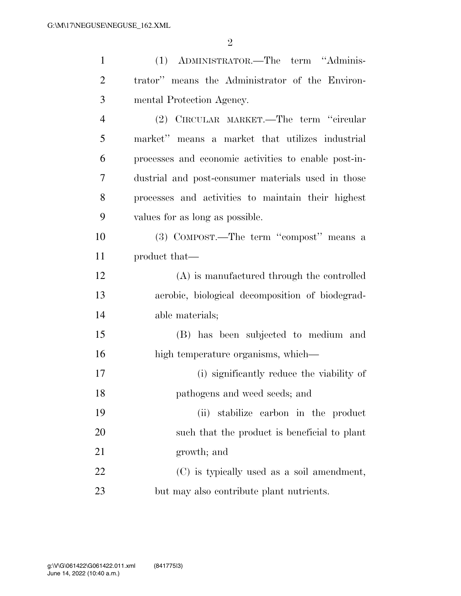| $\mathbf{1}$   | (1) ADMINISTRATOR.—The term "Adminis-                |
|----------------|------------------------------------------------------|
| $\overline{2}$ | trator" means the Administrator of the Environ-      |
| 3              | mental Protection Agency.                            |
| $\overline{4}$ | (2) CIRCULAR MARKET.—The term "circular              |
| 5              | market" means a market that utilizes industrial      |
| 6              | processes and economic activities to enable post-in- |
| 7              | dustrial and post-consumer materials used in those   |
| 8              | processes and activities to maintain their highest   |
| 9              | values for as long as possible.                      |
| 10             | (3) COMPOST.—The term "compost" means a              |
| 11             | product that—                                        |
| 12             | (A) is manufactured through the controlled           |
| 13             | aerobic, biological decomposition of biodegrad-      |
| 14             | able materials;                                      |
| 15             | (B) has been subjected to medium and                 |
| 16             | high temperature organisms, which—                   |
| 17             | (i) significantly reduce the viability of            |
| 18             | pathogens and weed seeds; and                        |
| 19             | (ii) stabilize carbon in the product                 |
| 20             | such that the product is beneficial to plant         |
| 21             | growth; and                                          |
| 22             | (C) is typically used as a soil amendment,           |
| 23             | but may also contribute plant nutrients.             |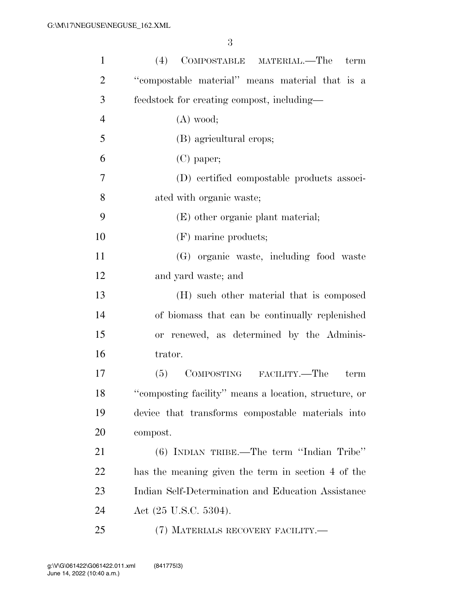| $\mathbf{1}$   | (4)<br>COMPOSTABLE MATERIAL.—The<br>term              |
|----------------|-------------------------------------------------------|
| $\overline{2}$ | "compostable material" means material that is a       |
| 3              | feedstock for creating compost, including-            |
| $\overline{4}$ | $(A)$ wood;                                           |
| 5              | (B) agricultural crops;                               |
| 6              | $(C)$ paper;                                          |
| 7              | (D) certified compostable products associ-            |
| 8              | ated with organic waste;                              |
| 9              | (E) other organic plant material;                     |
| 10             | (F) marine products;                                  |
| 11             | (G) organic waste, including food waste               |
| 12             | and yard waste; and                                   |
| 13             | (H) such other material that is composed              |
| 14             | of biomass that can be continually replenished        |
| 15             | or renewed, as determined by the Adminis-             |
| 16             | trator.                                               |
| 17             | COMPOSTING FACILITY.—The<br>(5)<br>term               |
| 18             | "composting facility" means a location, structure, or |
| 19             | device that transforms compostable materials into     |
| 20             | compost.                                              |
| 21             | (6) INDIAN TRIBE.—The term "Indian Tribe"             |
| 22             | has the meaning given the term in section 4 of the    |
| 23             | Indian Self-Determination and Education Assistance    |
| 24             | Act $(25 \text{ U.S.C. } 5304)$ .                     |
| 25             | (7) MATERIALS RECOVERY FACILITY.—                     |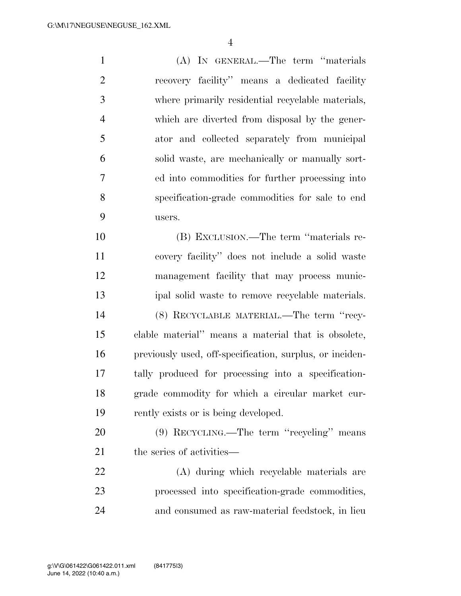(A) IN GENERAL.—The term ''materials recovery facility'' means a dedicated facility where primarily residential recyclable materials, which are diverted from disposal by the gener- ator and collected separately from municipal solid waste, are mechanically or manually sort- ed into commodities for further processing into specification-grade commodities for sale to end users. (B) EXCLUSION.—The term ''materials re-

 covery facility'' does not include a solid waste management facility that may process munic- ipal solid waste to remove recyclable materials. (8) RECYCLABLE MATERIAL.—The term ''recy- clable material'' means a material that is obsolete, previously used, off-specification, surplus, or inciden- tally produced for processing into a specification- grade commodity for which a circular market cur-rently exists or is being developed.

 (9) RECYCLING.—The term ''recycling'' means 21 the series of activities—

 (A) during which recyclable materials are processed into specification-grade commodities, and consumed as raw-material feedstock, in lieu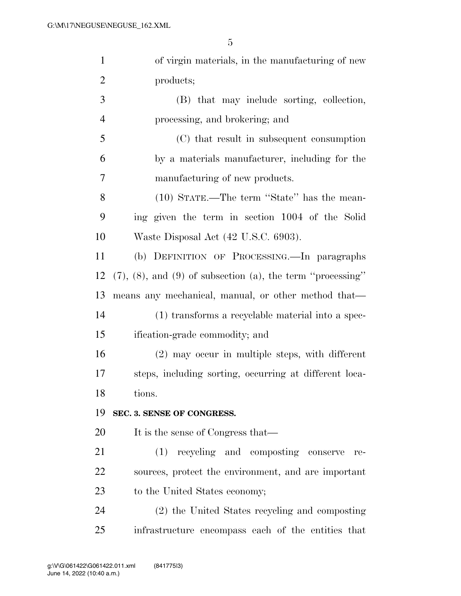| $\mathbf{1}$   | of virgin materials, in the manufacturing of new                      |
|----------------|-----------------------------------------------------------------------|
| $\overline{2}$ | products;                                                             |
| 3              | (B) that may include sorting, collection,                             |
| $\overline{4}$ | processing, and brokering; and                                        |
| 5              | (C) that result in subsequent consumption                             |
| 6              | by a materials manufacturer, including for the                        |
| 7              | manufacturing of new products.                                        |
| 8              | (10) STATE.—The term "State" has the mean-                            |
| 9              | ing given the term in section 1004 of the Solid                       |
| 10             | Waste Disposal Act (42 U.S.C. 6903).                                  |
| 11             | (b) DEFINITION OF PROCESSING.—In paragraphs                           |
| 12             | $(7)$ , $(8)$ , and $(9)$ of subsection $(a)$ , the term "processing" |
| 13             | means any mechanical, manual, or other method that—                   |
| 14             | (1) transforms a recyclable material into a spec-                     |
| 15             | ification-grade commodity; and                                        |
| 16             | $(2)$ may occur in multiple steps, with different                     |
| 17             | steps, including sorting, occurring at different loca-                |
| 18             | tions.                                                                |
| 19             | SEC. 3. SENSE OF CONGRESS.                                            |
| 20             | It is the sense of Congress that—                                     |
| 21             | (1) recycling and composting conserve<br>re-                          |
| 22             | sources, protect the environment, and are important                   |
| 23             | to the United States economy;                                         |
| 24             | (2) the United States recycling and composting                        |
| 25             | infrastructure encompass each of the entities that                    |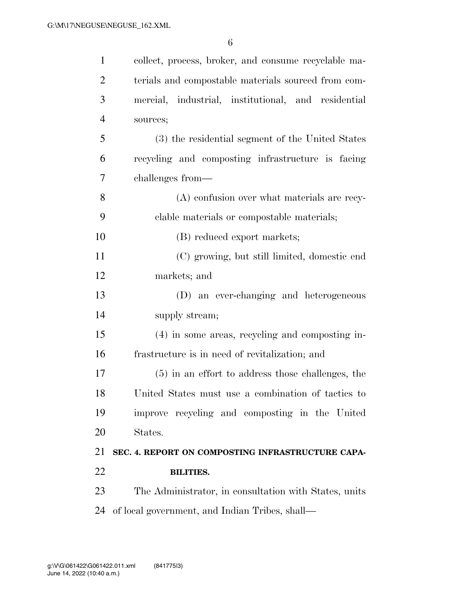| $\mathbf{1}$   | collect, process, broker, and consume recyclable ma-  |
|----------------|-------------------------------------------------------|
| $\overline{2}$ | terials and compostable materials sourced from com-   |
| 3              | mercial, industrial, institutional, and residential   |
| $\overline{4}$ | sources;                                              |
| 5              | (3) the residential segment of the United States      |
| 6              | recycling and composting infrastructure is facing     |
| 7              | challenges from—                                      |
| 8              | (A) confusion over what materials are recy-           |
| 9              | clable materials or compostable materials;            |
| 10             | (B) reduced export markets;                           |
| 11             | (C) growing, but still limited, domestic end          |
| 12             | markets; and                                          |
| 13             | (D) an ever-changing and heterogeneous                |
| 14             | supply stream;                                        |
| 15             | (4) in some areas, recycling and composting in-       |
| 16             | frastructure is in need of revitalization; and        |
| 17             | $(5)$ in an effort to address those challenges, the   |
| 18             | United States must use a combination of tactics to    |
| 19             | improve recycling and composting in the United        |
| 20             | States.                                               |
| 21             | SEC. 4. REPORT ON COMPOSTING INFRASTRUCTURE CAPA-     |
| 22             | <b>BILITIES.</b>                                      |
| 23             | The Administrator, in consultation with States, units |
| 24             | of local government, and Indian Tribes, shall—        |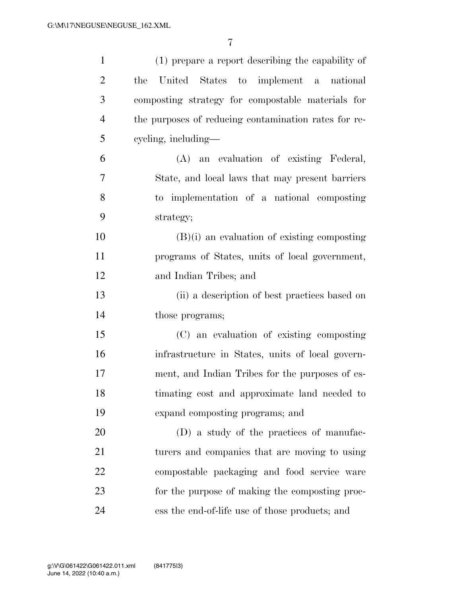| $\mathbf{1}$   | (1) prepare a report describing the capability of    |
|----------------|------------------------------------------------------|
| $\overline{2}$ | United States to implement a national<br>the         |
| 3              | composting strategy for compostable materials for    |
| $\overline{4}$ | the purposes of reducing contamination rates for re- |
| 5              | cycling, including—                                  |
| 6              | (A) an evaluation of existing Federal,               |
| 7              | State, and local laws that may present barriers      |
| 8              | to implementation of a national composting           |
| 9              | strategy;                                            |
| 10             | $(B)(i)$ an evaluation of existing composting        |
| 11             | programs of States, units of local government,       |
| 12             | and Indian Tribes; and                               |
| 13             | (ii) a description of best practices based on        |
| 14             | those programs;                                      |
| 15             | (C) an evaluation of existing composting             |
| 16             | infrastructure in States, units of local govern-     |
| 17             | ment, and Indian Tribes for the purposes of es-      |
| 18             | timating cost and approximate land needed to         |
| 19             | expand composting programs; and                      |
| 20             | (D) a study of the practices of manufac-             |
| 21             | turers and companies that are moving to using        |
| 22             | compostable packaging and food service ware          |
| 23             | for the purpose of making the composting proc-       |
| 24             | ess the end-of-life use of those products; and       |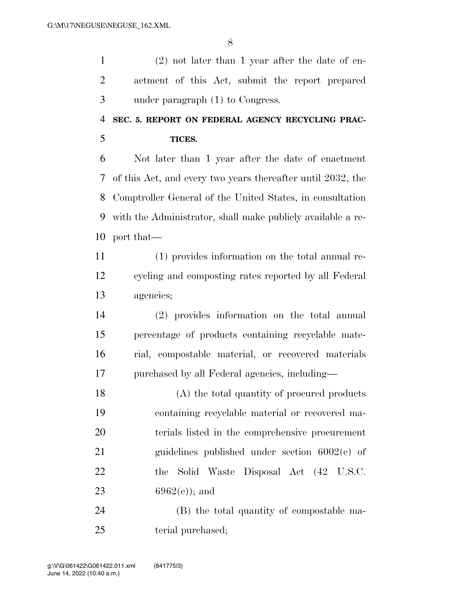(2) not later than 1 year after the date of en- actment of this Act, submit the report prepared under paragraph (1) to Congress.

## **SEC. 5. REPORT ON FEDERAL AGENCY RECYCLING PRAC-TICES.**

 Not later than 1 year after the date of enactment of this Act, and every two years thereafter until 2032, the Comptroller General of the United States, in consultation with the Administrator, shall make publicly available a re-port that—

 (1) provides information on the total annual re- cycling and composting rates reported by all Federal agencies;

 (2) provides information on the total annual percentage of products containing recyclable mate- rial, compostable material, or recovered materials purchased by all Federal agencies, including—

 (A) the total quantity of procured products containing recyclable material or recovered ma- terials listed in the comprehensive procurement guidelines published under section 6002(e) of 22 the Solid Waste Disposal Act (42 U.S.C. 23 6962(e)); and

 (B) the total quantity of compostable ma-25 terial purchased;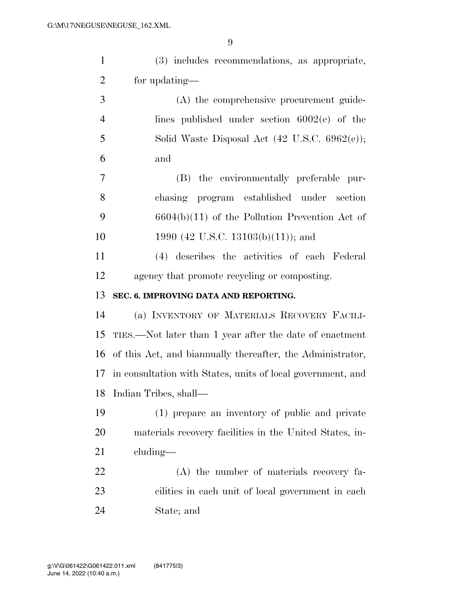| $\mathbf{1}$   | (3) includes recommendations, as appropriate,                 |
|----------------|---------------------------------------------------------------|
| $\overline{2}$ | for updating—                                                 |
| 3              | (A) the comprehensive procurement guide-                      |
| $\overline{4}$ | lines published under section $6002(e)$ of the                |
| 5              | Solid Waste Disposal Act (42 U.S.C. 6962(e));                 |
| 6              | and                                                           |
| $\tau$         | (B) the environmentally preferable pur-                       |
| 8              | chasing program established under section                     |
| 9              | $6604(b)(11)$ of the Pollution Prevention Act of              |
| 10             | 1990 (42 U.S.C. 13103(b)(11)); and                            |
| 11             | (4) describes the activities of each Federal                  |
| 12             | agency that promote recycling or composting.                  |
|                |                                                               |
| 13             | SEC. 6. IMPROVING DATA AND REPORTING.                         |
| 14             | (a) INVENTORY OF MATERIALS RECOVERY FACILI-                   |
| 15             | TIES.—Not later than 1 year after the date of enactment       |
|                | 16 of this Act, and biannually thereafter, the Administrator, |
| 17             | in consultation with States, units of local government, and   |
|                | 18 Indian Tribes, shall—                                      |
| 19             | (1) prepare an inventory of public and private                |
| 20             | materials recovery facilities in the United States, in-       |
| 21             | $cluding$ —                                                   |
| 22             | (A) the number of materials recovery fa-                      |
| 23             | cilities in each unit of local government in each             |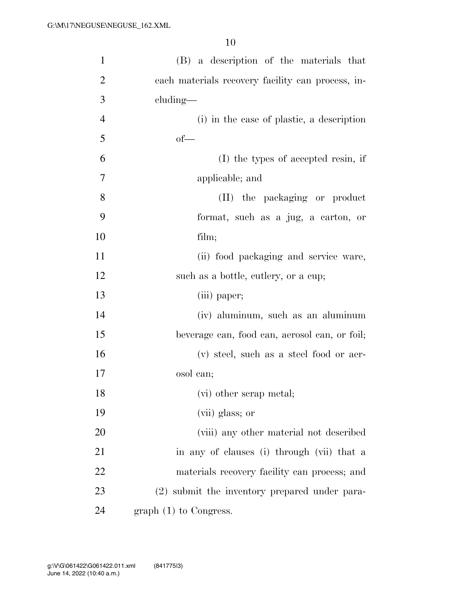| $\mathbf{1}$   | (B) a description of the materials that           |
|----------------|---------------------------------------------------|
| $\overline{2}$ | each materials recovery facility can process, in- |
| 3              | $cluding$ —                                       |
| $\overline{4}$ | (i) in the case of plastic, a description         |
| 5              | $of$ —                                            |
| 6              | (I) the types of accepted resin, if               |
| 7              | applicable; and                                   |
| 8              | (II) the packaging or product                     |
| 9              | format, such as a jug, a carton, or               |
| 10             | film;                                             |
| 11             | (ii) food packaging and service ware,             |
| 12             | such as a bottle, cutlery, or a cup;              |
| 13             | (iii) paper;                                      |
| 14             | (iv) aluminum, such as an aluminum                |
| 15             | beverage can, food can, aerosol can, or foil;     |
| 16             | (v) steel, such as a steel food or aer-           |
| 17             | osol can;                                         |
| 18             | (vi) other scrap metal;                           |
| 19             | (vii) glass; or                                   |
| 20             | (viii) any other material not described           |
| 21             | in any of clauses (i) through (vii) that a        |
| 22             | materials recovery facility can process; and      |
| 23             | (2) submit the inventory prepared under para-     |
| 24             | graph $(1)$ to Congress.                          |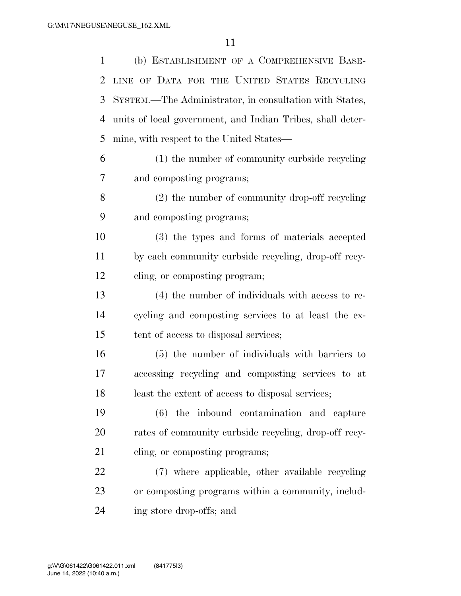(b) ESTABLISHMENT OF A COMPREHENSIVE BASE- LINE OF DATA FOR THE UNITED STATES RECYCLING SYSTEM.—The Administrator, in consultation with States, units of local government, and Indian Tribes, shall deter-mine, with respect to the United States—

 (1) the number of community curbside recycling and composting programs;

 (2) the number of community drop-off recycling and composting programs;

 (3) the types and forms of materials accepted by each community curbside recycling, drop-off recy-cling, or composting program;

 (4) the number of individuals with access to re- cycling and composting services to at least the ex-tent of access to disposal services;

 (5) the number of individuals with barriers to accessing recycling and composting services to at least the extent of access to disposal services;

 (6) the inbound contamination and capture rates of community curbside recycling, drop-off recy-21 cling, or composting programs;

 (7) where applicable, other available recycling or composting programs within a community, includ-ing store drop-offs; and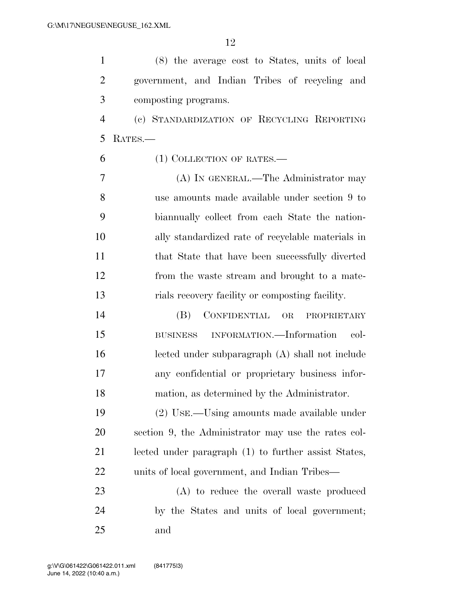(8) the average cost to States, units of local government, and Indian Tribes of recycling and composting programs.

 (c) STANDARDIZATION OF RECYCLING REPORTING RATES.—

(1) COLLECTION OF RATES.—

 (A) IN GENERAL.—The Administrator may use amounts made available under section 9 to biannually collect from each State the nation- ally standardized rate of recyclable materials in 11 that State that have been successfully diverted from the waste stream and brought to a mate-rials recovery facility or composting facility.

 (B) CONFIDENTIAL OR PROPRIETARY BUSINESS INFORMATION.—Information col- lected under subparagraph (A) shall not include any confidential or proprietary business infor-mation, as determined by the Administrator.

 (2) USE.—Using amounts made available under section 9, the Administrator may use the rates col- lected under paragraph (1) to further assist States, units of local government, and Indian Tribes—

 (A) to reduce the overall waste produced by the States and units of local government; and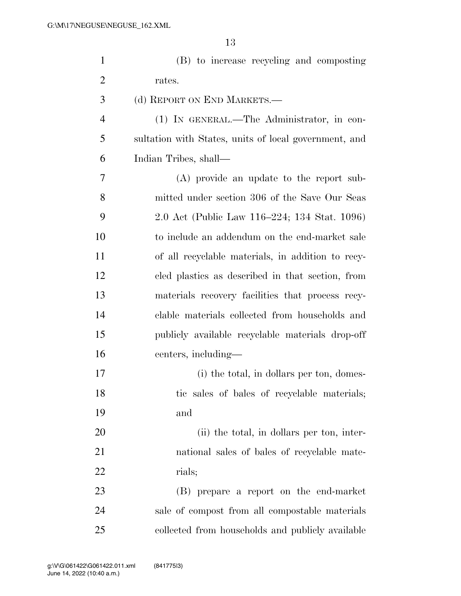| $\mathbf{1}$   | (B) to increase recycling and composting              |
|----------------|-------------------------------------------------------|
| $\overline{2}$ | rates.                                                |
| 3              | (d) REPORT ON END MARKETS.—                           |
| $\overline{4}$ | (1) IN GENERAL.—The Administrator, in con-            |
| 5              | sultation with States, units of local government, and |
| 6              | Indian Tribes, shall-                                 |
| 7              | (A) provide an update to the report sub-              |
| 8              | mitted under section 306 of the Save Our Seas         |
| 9              | 2.0 Act (Public Law 116–224; 134 Stat. 1096)          |
| 10             | to include an addendum on the end-market sale         |
| 11             | of all recyclable materials, in addition to recy-     |
| 12             | eled plastics as described in that section, from      |
| 13             | materials recovery facilities that process recy-      |
| 14             | clable materials collected from households and        |
| 15             | publicly available recyclable materials drop-off      |
| 16             | centers, including—                                   |
| 17             | (i) the total, in dollars per ton, domes-             |
| 18             | tic sales of bales of recyclable materials;           |
| 19             | and                                                   |
| 20             | (ii) the total, in dollars per ton, inter-            |
| 21             | national sales of bales of recyclable mate-           |
| 22             | rials;                                                |
| 23             | (B) prepare a report on the end-market                |
| 24             | sale of compost from all compostable materials        |
| 25             | collected from households and publicly available      |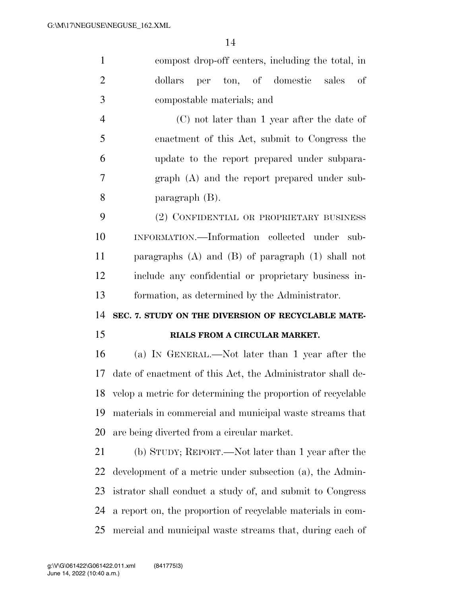compost drop-off centers, including the total, in dollars per ton, of domestic sales of compostable materials; and (C) not later than 1 year after the date of enactment of this Act, submit to Congress the update to the report prepared under subpara- graph (A) and the report prepared under sub- paragraph (B). (2) CONFIDENTIAL OR PROPRIETARY BUSINESS INFORMATION.—Information collected under sub- paragraphs (A) and (B) of paragraph (1) shall not include any confidential or proprietary business in- formation, as determined by the Administrator. **SEC. 7. STUDY ON THE DIVERSION OF RECYCLABLE MATE- RIALS FROM A CIRCULAR MARKET.**  (a) IN GENERAL.—Not later than 1 year after the date of enactment of this Act, the Administrator shall de- velop a metric for determining the proportion of recyclable materials in commercial and municipal waste streams that are being diverted from a circular market. (b) STUDY; REPORT.—Not later than 1 year after the development of a metric under subsection (a), the Admin-istrator shall conduct a study of, and submit to Congress

 a report on, the proportion of recyclable materials in com-mercial and municipal waste streams that, during each of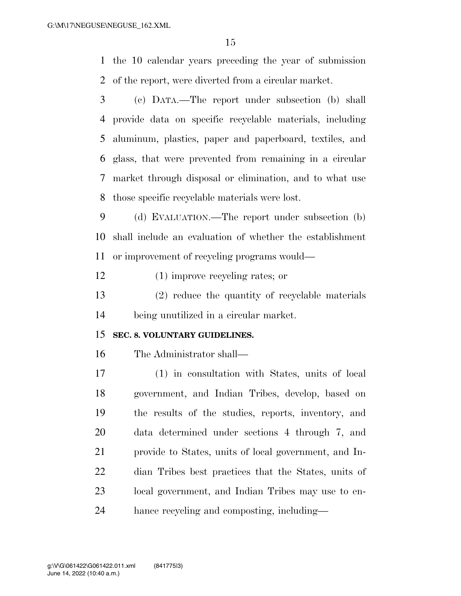the 10 calendar years preceding the year of submission of the report, were diverted from a circular market.

 (c) DATA.—The report under subsection (b) shall provide data on specific recyclable materials, including aluminum, plastics, paper and paperboard, textiles, and glass, that were prevented from remaining in a circular market through disposal or elimination, and to what use those specific recyclable materials were lost.

 (d) EVALUATION.—The report under subsection (b) shall include an evaluation of whether the establishment or improvement of recycling programs would—

(1) improve recycling rates; or

 (2) reduce the quantity of recyclable materials being unutilized in a circular market.

#### **SEC. 8. VOLUNTARY GUIDELINES.**

The Administrator shall—

 (1) in consultation with States, units of local government, and Indian Tribes, develop, based on the results of the studies, reports, inventory, and data determined under sections 4 through 7, and provide to States, units of local government, and In- dian Tribes best practices that the States, units of local government, and Indian Tribes may use to en-hance recycling and composting, including—